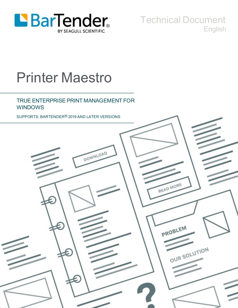

Technical Document English

# Printer Maestro

### TRUE ENTERPRISE PRINT MANAGEMENT FOR WINDOWS

SUPPORTS: BARTENDER® 2019 AND LATER VERSIONS

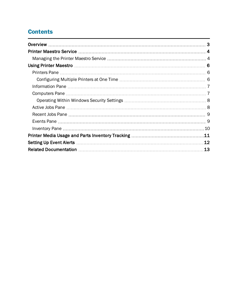# **Contents**

| .11 |
|-----|
| .12 |
| 13  |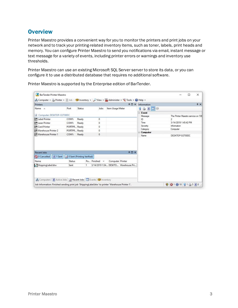## <span id="page-2-0"></span>**Overview**

Printer Maestro provides a convenient way for you to monitor the printers and print jobs on your network and to track your printing-related inventory items, such as toner, labels, print heads and memory. You can configure Printer Maestro to send you notifications via email, instant message or text message for a variety of events, including printer errors or warnings and inventory use thresholds.

Printer Maestro can use an existing Microsoft SQL Server server to store its data, or you can configure it to use a distributed database that requires no additional software.

| <b>Printers</b>                                                |              |                            |                    |      |                  | <b>ADX</b>                          | Information               | $4 \times$                         |
|----------------------------------------------------------------|--------------|----------------------------|--------------------|------|------------------|-------------------------------------|---------------------------|------------------------------------|
| Name A                                                         | Port         | Status                     |                    | Jobs | Item Usage Meter |                                     | 39 D D O                  |                                    |
|                                                                |              |                            |                    |      |                  |                                     | $E$ Event                 |                                    |
| Computer: DESKTOP-O2T80DC                                      |              |                            |                    |      |                  |                                     | Message                   | The Printer Maestro service on 'DE |
| <b>ELabel Printer</b>                                          | COM1:        | Ready                      | 0                  |      |                  |                                     | ID                        | 2                                  |
| <b>MLaser Printer</b>                                          | COM1:        | Ready                      | 0                  |      |                  |                                     | Time                      | 3/14/2019 1:45:42 PM               |
| <b>ECard Printer</b>                                           | PORTPR Ready |                            | 0                  |      |                  |                                     | Seventy                   | Information                        |
| Warehouse Printer 2                                            | PORTPR Ready |                            | 0                  |      |                  |                                     | Category                  | Computer                           |
| Warehouse Printer 1                                            | COM1:        | Ready                      | $\circ$            |      |                  |                                     | $\equiv$ Computer<br>Name | DESKTOP-O2T80DC                    |
|                                                                |              |                            |                    |      |                  |                                     |                           |                                    |
|                                                                |              |                            |                    |      |                  |                                     |                           |                                    |
| $\blacktriangleright$ 1 Sent                                   |              | O Sent (Printing Verified) |                    |      |                  | 40x                                 |                           |                                    |
|                                                                | Status       |                            | Pa Finished $\neg$ |      | Computer Printer |                                     |                           |                                    |
| <b>Recent Jobs</b><br>O Cancelled<br>Name<br>ShippingLabel.btw | Sent         | 1                          |                    |      |                  | 3/14/2019 1:54 DESKTO Warehouse Pri |                           |                                    |
| Computers   D Active Jobs   Recent Jobs   Events   Inventory   |              |                            |                    |      |                  |                                     |                           |                                    |

Printer Maestro is supported by the Enterprise edition of BarTender.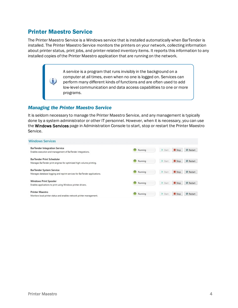## <span id="page-3-0"></span>Printer Maestro Service

O

The Printer Maestro Service is a Windows service that is installed automatically when BarTender is installed. The Printer Maestro Service monitors the printers on your network, collecting information about printer status, print jobs, and printer-related inventory items. It reports this information to any installed copies of the Printer Maestro application that are running on the network.

> A *service* is a program that runs invisibly in the background on a computer at all times, even when no one is logged on. Services can perform many different kinds of functions and are often used to add low-level communication and data access capabilities to one or more programs.

#### <span id="page-3-1"></span>*Managing the Printer Maestro Service*

It is seldom necessary to manage the Printer Maestro Service, and any management is typically done by a system administrator or other IT personnel. However, when it is necessary, you can use the Windows Services page in Administration Console to start, stop or restart the Printer Maestro Service.

| <b>Windows Services</b>                                                                                      |         |                |      |           |
|--------------------------------------------------------------------------------------------------------------|---------|----------------|------|-----------|
| <b>BarTender Integration Service</b><br>Enables execution and management of BarTender integrations.          | Running | Start          | Stop | O Restart |
| <b>BarTender Print Scheduler</b><br>Manages BarTender print engines for optimized high-volume printing.      | Running | Start          | Stop | O Restart |
| <b>BarTender System Service</b><br>Manages database logging and reprint services for BarTender applications. | Running | Start          | Stop | O Restart |
| <b>Windows Print Spooler</b><br>Enables applications to print using Windows printer drivers.                 | Running | Start          | Stop | O Restart |
| <b>Printer Maestro</b><br>Monitors local printer status and enables network printer management.              | Running | <b>I</b> Start | Stop | O Restart |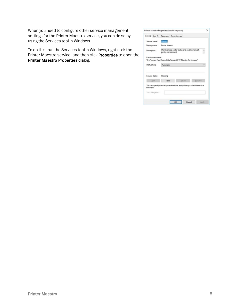When you need to configure other service management settings for the Printer Maestro service, you can do so by using the Services tool in Windows.

To do this, run the Services tool in Windows, right-click the Printer Maestro service, and then click Properties to open the Printer Maestro Properties dialog.

|               |                     | General Log On Recovery Dependencies                                      |  |                                                                            |        |  |
|---------------|---------------------|---------------------------------------------------------------------------|--|----------------------------------------------------------------------------|--------|--|
| Service name: |                     | Maestro                                                                   |  |                                                                            |        |  |
|               | Display name:       | Printer Maestro                                                           |  |                                                                            |        |  |
| Description:  |                     | Monitors local printer status and enables network.<br>printer management. |  |                                                                            |        |  |
|               | Path to executable: |                                                                           |  | "C:\Program Files\Seagull\BarTender 2019\Maestro.Service.exe"              |        |  |
| Startup type: | Automatic           |                                                                           |  |                                                                            |        |  |
|               | Service status:     | Running                                                                   |  |                                                                            |        |  |
|               | Start               | S <sub>100</sub>                                                          |  | Pause                                                                      | Resume |  |
| from here.    | Start parameters:   |                                                                           |  | You can specify the start parameters that apply when you start the service |        |  |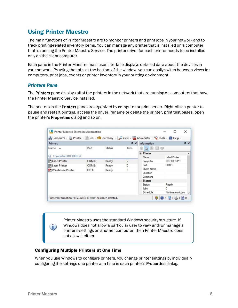# <span id="page-5-0"></span>Using Printer Maestro

The main functions of Printer Maestro are to monitor printers and print jobs in your network and to track printing-related inventory items. You can manage any printer that is installed on a computer that is running the Printer Maestro Service. The printer driver for each printer needs to be installed only on the client computer.

Each pane in the Printer Maestro main user interface displays detailed data about the devices in your network. By using the tabs at the bottom of the window, you can easily switch between views for computers, print jobs, events or printer inventory in your printing environment.

#### <span id="page-5-1"></span>*Printers Pane*

The Printers pane displays all of the printers in the network that are running on computers that have the Printer Maestro Service installed.

The printers in the Printers pane are organized by computer or print server. Right-click a printer to pause and restart printing, access the driver, rename or delete the printer, print test pages, open the printer's **Properties** dialog and so on.

| <b>Printers</b>       |                    |        | $4 \times$   | Information     |                     | $4 \times$   |
|-----------------------|--------------------|--------|--------------|-----------------|---------------------|--------------|
| Name A                | Port               | Status | Jobs         | 80<br><b>SB</b> |                     |              |
|                       |                    |        |              | Printer<br>A    |                     | $\hat{}$     |
| Computer: KITCHEN-PC  |                    |        |              | Name            | Label Printer       |              |
| <b>ELabel Printer</b> | COM1:              | Ready  | $\mathbf{0}$ | Computer        | KITCHEN-PC          |              |
| <b>ELaser Printer</b> | COM <sub>2</sub> : | Ready  | 0            | Port            | COM1:               |              |
| Warehouse Printer     | LPT <sub>1</sub> : | Ready  | 0            | Share Name      |                     |              |
|                       |                    |        |              | Location        |                     |              |
|                       |                    |        |              | Comment         |                     |              |
|                       |                    |        |              | $-$ Status      |                     |              |
|                       |                    |        |              | <b>Status</b>   | Ready               |              |
|                       |                    |        |              | Jobs            | $\mathbf{0}$        |              |
|                       |                    |        |              | Schedule        | No time restriction | $\checkmark$ |

Printer Maestro uses the standard Windows security structure. If Windows does not allow a particular user to view and/or manage a printer's settings on another computer, then Printer Maestro does not allow it either.

#### <span id="page-5-2"></span>Configuring Multiple Printers at One Time

When you use Windows to configure printers, you change printer settings by individually configuring the settings one printer at a time in each printer's **Properties** dialog.

i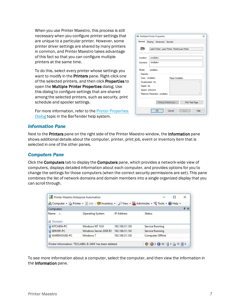When you use Printer Maestro, this process is still necessary when you configure printer settings that are unique to a particular printer. However, some printer driver settings are shared by many printers in common, and Printer Maestro takes advantage of this fact so that you can configure multiple printers at the same time.

To do this, select every printer whose settings you want to modify in the **Printers** pane. Right-click one of the selected printers, and then click Properties to open the Multiple Printer Properties dialog. Use this dialog to configure settings that are shared among the selected printers, such as security, print schedule and spooler settings.

For more information, refer to the Printer [Properties](http://help.seagullscientific.com/#../Subsystems/Maestro/Content/PrinterPropertiesForm.html) [Dialog](http://help.seagullscientific.com/#../Subsystems/Maestro/Content/PrinterPropertiesForm.html) topic in the BarTender help system.

|                   | <b>Str. Multiple Printer Properties</b>          |                                                 |                 | × |
|-------------------|--------------------------------------------------|-------------------------------------------------|-----------------|---|
|                   | General Sharing Advanced Security                |                                                 |                 |   |
| 39                |                                                  | Label Printer, Laser Printer, Warehouse Printer |                 |   |
| Location:         | emultiple »                                      |                                                 |                 |   |
| Comment:          | emultiples                                       |                                                 |                 |   |
| Features          | Model: «multiple»                                |                                                 |                 |   |
| Color: «multiple» |                                                  | Paper Available:                                |                 |   |
|                   | Double-sided: No                                 |                                                 |                 | × |
| Staple: No        |                                                  |                                                 |                 |   |
|                   | Speed: Unknown<br>Maximum Resolution: «multiple» |                                                 |                 | v |
|                   |                                                  | Printing Preferences.                           | Print Test Page |   |
|                   |                                                  |                                                 |                 |   |

#### <span id="page-6-0"></span>*Information Pane*

Next to the Printers pane on the right side of the Printer Maestro window, the Information pane shows additional details about the computer, printer, print job, event or inventory item that is selected in one of the other panes.

#### <span id="page-6-1"></span>*Computers Pane*

Click the Computers tab to display the Computers pane, which provides a network-wide view of computers, displays detailed information about each computer, and provides options for you to change the settings for those computers (when the correct security permissions are set). This pane combines the list of network domains and domain members into a single organized display that you can scroll through.

|                            |                                                          |                   | Computer + Printer + Elob - Chrventory + P View + Administer + Clools + 2 Help + |
|----------------------------|----------------------------------------------------------|-------------------|----------------------------------------------------------------------------------|
| Computers                  |                                                          |                   | $4 \times$                                                                       |
| Name A<br>$\equiv$ Domain: | Operating System                                         | <b>IP Address</b> | Status                                                                           |
| KITCHEN-PC                 | Windows NT 10.0                                          | 192.168.31.129    | Service Running                                                                  |
| SERVER-PC                  | Windows Server 2008 R2                                   | 192, 168, 31, 130 | Service Running                                                                  |
| WAREHOUSE-PC               | Windows 7                                                | 192.168.31.128    | Computer Offline                                                                 |
|                            | Printer Information: 'TECLABEL B-2404' has been deleted. |                   | ● 32 ● 30 33 34 10 ■ 0                                                           |

To see more information about a computer, select the computer, and then view the information in the Information pane.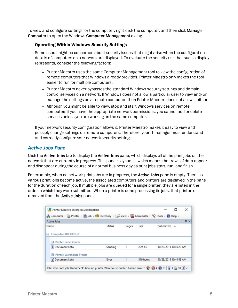To view and configure settings for the computer, right-click the computer, and then click **Manage** Computer to open the Windows Computer Management dialog.

#### <span id="page-7-0"></span>Operating Within Windows Security Settings

Some users might be concerned about security issues that might arise when the configuration details of computers on a network are displayed. To evaluate the security risk that such a display represents, consider the following factors:

- Printer Maestro uses the same Computer Management tool to view the configuration of remote computers that Windows already provides. Printer Maestro only makes the tool easier to run for multiple computers.
- Printer Maestro never bypasses the standard Windows security settings and domain control services on a network. If Windows does not allow a particular user to view and/or manage the settings on a remote computer, then Printer Maestro does not allow it either.
- Although you might be able to view, stop and start Windows services on remote computers if you have the appropriate network permissions, you cannot add or delete services unless you are working on the same computer.

If your network security configuration allows it, Printer Maestro makes it easy to view and possibly change settings on remote computers. Therefore, your IT manager must understand and correctly configure your network security settings.

#### <span id="page-7-1"></span>*Active Jobs Pane*

Click the Active Jobs tab to display the Active Jobs pane, which displays all of the print jobs on the network that are currently in progress. This pane is dynamic, which means that rows of data appear and disappear during the course of a normal business day as print jobs start, run, and finish.

For example, when no network print jobs are in progress, the Active Jobs pane is empty. Then, as various print jobs become active, the associated computers and printers are displayed in the pane for the duration of each job. If multiple jobs are queued for a single printer, they are listed in the order in which they were submitted. When a printer is done processing its jobs, that printer is removed from the Active Jobs pane.

| Name | Status                                                                                                         |                  |        |                        |
|------|----------------------------------------------------------------------------------------------------------------|------------------|--------|------------------------|
|      |                                                                                                                | Pages            | Size   | Submitted<br>$\Delta$  |
|      |                                                                                                                |                  |        |                        |
|      |                                                                                                                |                  |        | 10/29/2015 10:45:29 AM |
|      |                                                                                                                |                  |        | 10/29/2015 10:44:43 AM |
|      | Computer: KITCHEN-PC<br>Printer: Label Printer<br>Document1.btw<br>Printer: Warehouse Printer<br>Document1.btw | Sending<br>Error | 1<br>1 | 2.25 KB<br>319 bytes   |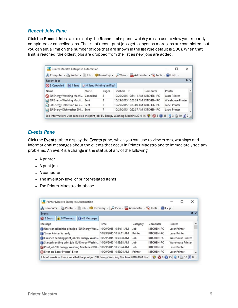#### <span id="page-8-0"></span>*Recent Jobs Pane*

Click the Recent Jobs tab to display the Recent Jobs pane, which you can use to view your recently completed or cancelled jobs. The list of recent print jobs gets longer as more jobs are completed, but you can set a limit on the number of jobs that are shown in the list (the default is 100). When that limit is reached, the oldest jobs are dropped from the list as new jobs are added.

| Computer + Printer + 1 Job - 1 Inventory + P View + 2 Administer + Clools + 2 Help + |        |       |                                   |          |                      |              |
|--------------------------------------------------------------------------------------|--------|-------|-----------------------------------|----------|----------------------|--------------|
| <b>Recent Jobs</b>                                                                   |        |       |                                   |          |                      | $4 \times$   |
| 3 Sent   J 0 Sent (Printing Verified)<br>3 Cancelled                                 |        |       |                                   |          |                      |              |
| Name                                                                                 | Status | Pages | Finished $\equiv$                 | Computer | Printer              |              |
| EU Energy Washing Machi Cancelled                                                    |        | 8     | 10/29/2015 10:54:11 AM KITCHEN-PC |          | <b>Laser Printer</b> |              |
| EU Energy Washing Machi Sent                                                         |        | 8     | 10/29/2015 10:53:39 AM KITCHEN-PC |          | Warehouse Printer    |              |
| EU Energy Television A++ Sent                                                        |        |       | 10/29/2015 10:53:00 AM KITCHEN-PC |          | Label Printer        |              |
| EU Energy Dishwasher 201 Sent                                                        |        |       | 10/29/2015 10:52:37 AM KITCHEN-PC |          | <b>Label Printer</b> | $\checkmark$ |

#### <span id="page-8-1"></span>*Events Pane*

Click the Events tab to display the Events pane, which you can use to view errors, warnings and informational messages about the events that occur in Printer Maestro and to immediately see any problems. An *event* is a change in the status of any of the following:

- $\bullet$  A printer
- $\bullet$  A print job
- $\bullet$  A computer
- The inventory level of printer-related items
- The Printer Maestro database

| Computer + Printer + D Job - Colliventory + D View + Administer + C Tools + 2 Help + |                        |          |            |                          |              |
|--------------------------------------------------------------------------------------|------------------------|----------|------------|--------------------------|--------------|
| Events                                                                               |                        |          |            |                          | $4 \times$   |
| 8 Errors 0 Warnings 0 45 Messages                                                    |                        |          |            |                          |              |
| Message                                                                              | Time                   | Category | Computer   | Printer                  | ^            |
| User cancelled the print job 'EU Energy Was 10/29/2015 10:54:11 AM                   |                        | Job      | KITCHEN-PC | <b>Laser Printer</b>     |              |
| Laser Printer' is ready.                                                             | 10/29/2015 10:54:11 AM | Printer  | KITCHEN-PC | Laser Printer            |              |
| (1) Finished sending print job 'EU Energy Washi 10/29/2015 10:53:38 AM               |                        | Job      | KITCHEN-PC | Warehouse Printer        |              |
| Started sending print job 'EU Energy Washin 10/29/2015 10:53:38 AM                   |                        | Job      | KITCHEN-PC | <b>Warehouse Printer</b> |              |
| Print job 'EU Energy Washing Machine 2010 10/29/2015 10:53:24 AM                     |                        | Job      | KITCHEN-PC | <b>Laser Printer</b>     |              |
| Error on 'Laser Printer': Error                                                      | 10/29/2015 10:53:24 AM | Printer  | KITCHEN-PC | Laser Printer            | $\checkmark$ |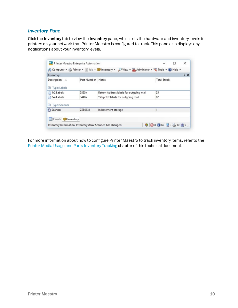#### <span id="page-9-0"></span>*Inventory Pane*

Click the Inventory tab to view the Inventory pane, which lists the hardware and inventory levels for printers on your network that Printer Maestro is configured to track. This pane also displays any notifications about your inventory levels.

|                                                     |                   | Computer + Printer + B Job - C Inventory + D View + Administer + C Tools + O Help + |                    |            |
|-----------------------------------------------------|-------------------|-------------------------------------------------------------------------------------|--------------------|------------|
| Inventory                                           |                   |                                                                                     |                    | $4 \times$ |
| Description<br>$\Delta$<br>Type: Labels<br>$\equiv$ | Part Number Notes |                                                                                     | <b>Total Stock</b> |            |
| 1x2 Labels<br>n                                     | 2865n             | Return Address labels for outgoing mail                                             | 25                 |            |
| 2x4 Labels                                          | 3440a             | "Ship To" labels for outgoing mail                                                  | 82                 |            |
| Type: Scanner                                       |                   |                                                                                     |                    |            |
| Scanner                                             | ZEB9831           | In basement storage                                                                 |                    |            |
| Events Inventory                                    |                   |                                                                                     |                    |            |

For more information about how to configure Printer Maestro to track inventory items, refer to the Printer Media Usage and Parts [Inventory](#page-10-0) Tracking chapter of this technical document.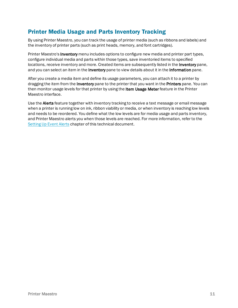## <span id="page-10-0"></span>Printer Media Usage and Parts Inventory Tracking

By using Printer Maestro, you can track the usage of printer media (such as ribbons and labels) and the inventory of printer parts (such as print heads, memory, and font cartridges).

Printer Maestro's Inventory menu includes options to configure new media and printer part types, configure individual media and parts within those types, save inventoried items to specified locations, receive inventory and more. Created items are subsequently listed in the Inventory pane, and you can select an item in the **Inventory** pane to view details about it in the **Information** pane.

After you create a media item and define its usage parameters, you can attach it to a printer by dragging the item from the **Inventory** pane to the printer that you want in the **Printers** pane. You can then monitor usage levels for that printer by using the Item Usage Meter feature in the Printer Maestro interface.

Use the Alerts feature together with inventory tracking to receive a text message or email message when a printer is running low on ink, ribbon viability or media, or when inventory is reaching low levels and needs to be reordered. You define what the low levels are for media usage and parts inventory, and Printer Maestro alerts you when those levels are reached. For more information, refer to the [Setting](#page-11-0) Up Event Alerts chapter of this technical document.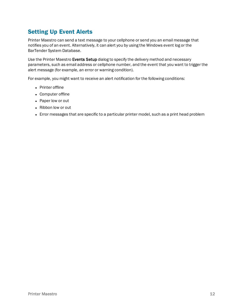# <span id="page-11-0"></span>Setting Up Event Alerts

Printer Maestro can send a text message to your cellphone or send you an email message that notifies you of an event. Alternatively, it can alert you by using the Windows event log or the BarTender System Database.

Use the Printer Maestro Events Setup dialog to specify the delivery method and necessary parameters, such as email address or cellphone number, and the event that you want to trigger the alert message (for example, an error or warning condition).

For example, you might want to receive an alert notification for the following conditions:

- Printer offline
- Computer offline
- Paper low or out
- Ribbon low or out
- Error messages that are specific to a particular printer model, such as a print head problem